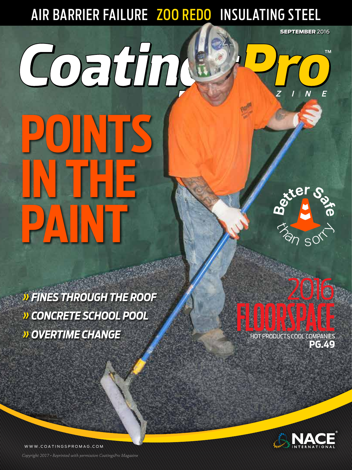## AIR BARRIER FAILURE <mark>ZOO REDO</mark> INSULATING STEEL

# Coatin **POINTS IN THE PAINT <sup>B</sup>etterSaf<sup>e</sup>**

 $\delta_{\rm s}$ 

2016

**SEPTEMBER 2016** 

**TM** 

*» FINES THROUGH THE ROOF » CONCRETE SCHOOL POOL » OVERTIME CHANGE*

FLOORSPACE **PG.49**



WWW.COATINGSPROMAG.COM

*Copyright 2017 • Reprinted with permission CoatingsPro Magazine* COATINGSPRO **SEPTEMBER 2016 1** *Copyright 2017 • Reprinted with permission CoatingsPro Magazine*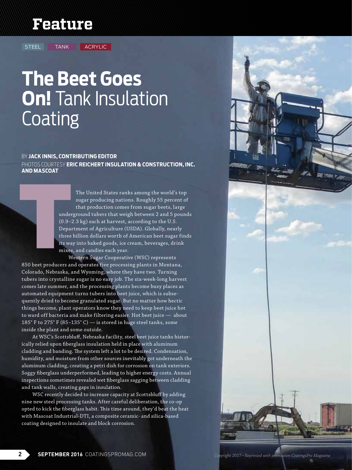## **Feature**

STEEL TANK ACRYLIC

# **The Beet Goes On!** Tank Insulation **Coating**

#### BY **JACK INNIS, CONTRIBUTING EDITOR**

PHOTOS COURTESY **ERIC REICHERT INSULATION & CONSTRUCTION, INC. AND MASCOAT**

> The United States ranks among the world's top sugar producing nations. Roughly 55 percent of that production comes from sugar beets, large underground tubers that weigh between 2 and 5 pounds (0.9–2.3 kg) each at harvest, according to the U.S. Department of Agriculture (USDA). Globally, nearly three billion dollars worth of American beet sugar finds its way into baked goods, ice cream, beverages, drink mixes, and candies each year.

Western Sugar Cooperative (WSC) represents 850 beet producers and operates five processing plants in Montana, Colorado, Nebraska, and Wyoming, where they have two. Turning tubers into crystalline sugar is no easy job. The six-week-long harvest comes late summer, and the processing plants become busy places as automated equipment turns tubers into beet juice, which is subsequently dried to become granulated sugar. But no matter how hectic things become, plant operators know they need to keep beet juice hot to ward off bacteria and make filtering easier. Hot beet juice — about 185° F to 275° F (85–135° C) — is stored in huge steel tanks, some inside the plant and some outside.

At WSC's Scottsbluff, Nebraska facility, steel beet juice tanks historically relied upon fiberglass insulation held in place with aluminum cladding and banding. The system left a lot to be desired. Condensation, humidity, and moisture from other sources inevitably got underneath the aluminum cladding, creating a petri dish for corrosion on tank exteriors. Soggy fiberglass underperformed, leading to higher energy costs. Annual inspections sometimes revealed wet fiberglass sagging between cladding and tank walls, creating gaps in insulation.

WSC recently decided to increase capacity at Scottsbluff by adding nine new steel processing tanks. After careful deliberation, the co-op opted to kick the fiberglass habit. This time around, they'd beat the heat with Mascoat Industrial-DTI, a composite ceramic- and silica-based coating designed to insulate and block corrosion.

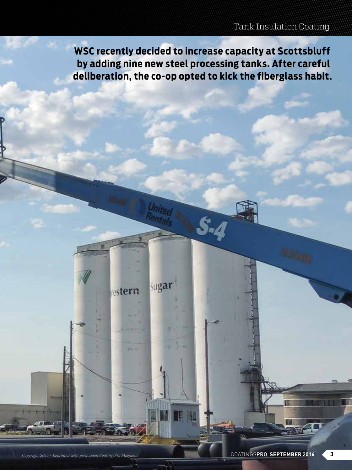**WSC recently decided to increase capacity at Scottsbluff by adding nine new steel processing tanks. After careful deliberation, the co-op opted to kick the fiberglass habit.**

Sugar

estern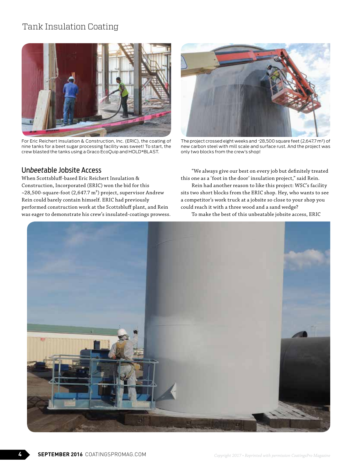## Tank Insulation Coating



For Eric Reichert Insulation & Construction, Inc. (ERIC), the coating of nine tanks for a beet sugar processing facility was sweet! To start, the crew blasted the tanks using a Graco EcoQuip and HOLD\*BLAST.

#### Un*beet*able Jobsite Access

When Scottsbluff-based Eric Reichert Insulation & Construction, Incorporated (ERIC) won the bid for this ~28,500-square-foot (2,647.7 m²) project, supervisor Andrew Rein could barely contain himself. ERIC had previously performed construction work at the Scottsbluff plant, and Rein was eager to demonstrate his crew's insulated-coatings prowess.



The project crossed eight weeks and ~28,500 square feet (2,647.7 m²) of new carbon steel with mill scale and surface rust. And the project was only two blocks from the crew's shop!

"We always give our best on every job but definitely treated this one as a 'foot in the door' insulation project," said Rein.

Rein had another reason to like this project: WSC's facility sits two short blocks from the ERIC shop. Hey, who wants to see a competitor's work truck at a jobsite so close to your shop you could reach it with a three wood and a sand wedge?

To make the best of this unbeatable jobsite access, ERIC

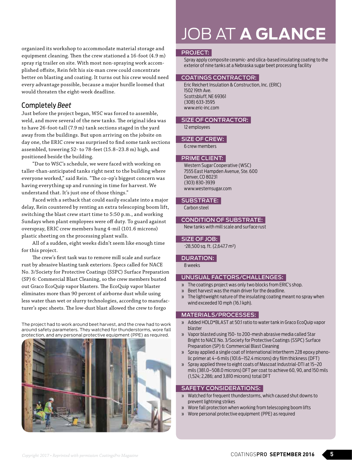organized its workshop to accommodate material storage and equipment cleaning. Then the crew stationed a 16-foot (4.9 m) spray rig trailer on site. With most non-spraying work accomplished offsite, Rein felt his six-man crew could concentrate better on blasting and coating. It turns out his crew would need every advantage possible, because a major hurdle loomed that would threaten the eight-week deadline.

#### Completely *Beet*

Just before the project began, WSC was forced to assemble, weld, and move several of the new tanks. The original idea was to have 26-foot-tall (7.9 m) tank sections staged in the yard away from the buildings. But upon arriving on the jobsite on day one, the ERIC crew was surprised to find some tank sections assembled, towering 52- to 78-feet (15.8–23.8 m) high, and positioned beside the building.

"Due to WSC's schedule, we were faced with working on taller-than-anticipated tanks right next to the building where everyone worked," said Rein. "The co-op's biggest concern was having everything up and running in time for harvest. We understand that. It's just one of those things."

Faced with a setback that could easily escalate into a major delay, Rein countered by renting an extra telescoping boom lift, switching the blast crew start time to 5:50 p.m., and working Sundays when plant employees were off duty. To guard against overspray, ERIC crew members hung 4-mil (101.6 microns) plastic sheeting on the processing plant walls.

All of a sudden, eight weeks didn't seem like enough time for this project.

The crew's first task was to remove mill scale and surface rust by abrasive blasting tank exteriors. Specs called for NACE No. 3/Society for Protective Coatings (SSPC) Surface Preparation (SP) 6: Commercial Blast Cleaning, so the crew members busted out Graco EcoQuip vapor blasters. The EcoQuip vapor blaster eliminates more than 90 percent of airborne dust while using less water than wet or slurry technologies, according to manufacturer's spec sheets. The low-dust blast allowed the crew to forgo

The project had to work around beet harvest, and the crew had to work around safety parameters. They watched for thunderstorms, wore fall protection, and any personal protective equipment (PPE) as required.



## JOB AT **A GLANCE**

#### PROJECT:

Spray apply composite ceramic- and silica-based insulating coating to the exterior of nine tanks at a Nebraska sugar beet processing facility

#### COATINGS CONTRACTOR:

Eric Reichert Insulation & Construction, Inc. (ERIC) 1502 19th Ave. Scottsbluff, NE 69361 (308) 633-3595 www.eric-inc.com

#### SIZE OF CONTRACTOR:

12 employees

#### SIZE OF CREW:

6 crew members

#### PRIME CLIENT:

Western Sugar Cooperative (WSC) 7555 East Hampden Avenue, Ste. 600 Denver, CO 80231 (303) 830-3939 www.westernsugar.com

#### SUBSTRATE:

Carbon steel

#### CONDITION OF SUBSTRATE:

New tanks with mill scale and surface rust

#### SIZE OF JOB:

~28,500 sq. ft. (2,647.7 m²)

#### DURATION:

8 weeks

#### UNUSUAL FACTORS/CHALLENGES:

- » The coatings project was only two blocks from ERIC's shop.
- » Beet harvest was the main driver for the deadline.
- » The lightweight nature of the insulating coating meant no spray when wind exceeded 10 mph (16.1 kph).

#### MATERIALS/PROCESSES:

- » Added HOLD\*BLAST at 50:1 ratio to water tank in Graco EcoQuip vapor blaster
- » Vapor blasted using 150- to 200-mesh abrasive media called Star Bright to NACE No. 3/Society for Protective Coatings (SSPC) Surface Preparation (SP) 6: Commercial Blast Cleaning
- » Spray applied a single coat of International Intertherm 228 epoxy phenolic primer at 4–6 mils (101.6–152.4 microns) dry film thickness (DFT)
- » Spray applied three to eight coats of Mascoat Industrial-DTI at 15–20 mils (381.0–508.0 microns) DFT per coat to achieve 60, 90, and 150 mils (1,524; 2,286; and 3,810 microns) total DFT

#### SAFETY CONSIDERATIONS:

- » Watched for frequent thunderstorms, which caused shut downs to prevent lightning strikes
- » Wore fall protection when working from telescoping boom lifts
- » Wore personal protective equipment (PPE) as required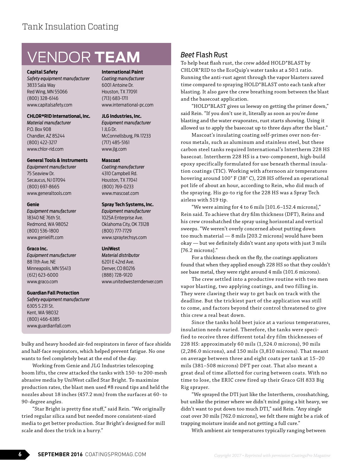## VENDOR **TEAM**

#### **Capital Safety**

*Safety equipment manufacturer* 3833 Sala Way Red Wing, MN 55066 (800) 328-6146 www.capitalsafety.com

#### **CHLOR\*RID International, Inc.**

*Material manufacturer* P.O. Box 908 Chandler, AZ 85244 (800) 422-3217 www.chlor-rid.com

#### **General Tools & Instruments**

*Equipment manufacturer* 75 Seaview Dr. Secaucus, NJ 07094 (800) 697-8665 www.generaltools.com

#### **Genie**

*Equipment manufacturer* 18340 NE 76th St. Redmond, WA 98052 (800) 536-1800 www.genielift.com

#### **Graco Inc.**

*Equipment manufacturer* 88 11th Ave. NE Minneapolis, MN 55413 (612) 623-6000 www.graco.com

#### **Guardian Fall Protection**

*Safety equipment manufacturer* 6305 S 231 St. Kent, WA 98032 (800) 466-6385 www.guardianfall.com

bulky and heavy hooded air-fed respirators in favor of face shields and half-face respirators, which helped prevent fatigue. No one wants to feel completely beat at the end of the day.

Working from Genie and JLG Industries telescoping boom lifts, the crew attacked the tanks with 150- to 200-mesh abrasive media by UniWest called Star Bright. To maximize production rates, the blast men used #8 round tips and held the nozzles about 18 inches (457.2 mm) from the surfaces at 60- to 90-degree angles.

"Star Bright is pretty fine stuff," said Rein. "We originally tried regular silica sand but needed more consistent-sized media to get better production. Star Bright's designed for mill scale and does the trick in a hurry."

#### **International Paint**

*Coating manufacturer* 6001 Antoine Dr. Houston, TX 77091 (713) 683-1711 www.international-pc.com

#### **JLG Industries, Inc.**

*Equipment manufacturer*  $1$  JLG Dr. McConnellsburg, PA 17233 (717) 485-5161 www.jlg.com

#### **Mascoat**

*Coating manufacturer* 4310 Campbell Rd. Houston, TX 77041 (800) 769-0233 www.mascoat.com

#### **Spray Tech Systems, Inc.**

*Equipment manufacturer* 1025A Enterprise Ave. Oklahoma City, OK 73128 (800) 777-7729 www.spraytechsys.com

#### **UniWest**

*Material distributor* 6201 E 42nd Ave. Denver, CO 80216 (888) 728-9120 www.unitedwesterndenver.com

#### *Beet* Flash Rust

To help beat flash rust, the crew added HOLD\*BLAST by CHLOR\*RID to the EcoQuip's water tanks at a 50:1 ratio. Running the anti-rust agent through the vapor blasters saved time compared to spraying HOLD\*BLAST onto each tank after blasting. It also gave the crew breathing room between the blast and the basecoat application.

"HOLD\*BLAST gives us leeway on getting the primer down," said Rein. "If you don't use it, literally as soon as you're done blasting and the water evaporates, rust starts showing. Using it allowed us to apply the basecoat up to three days after the blast."

Mascoat's insulating coating self-primes over non-ferrous metals, such as aluminum and stainless steel, but these carbon steel tanks required International's Intertherm 228 HS basecoat. Intertherm 228 HS is a two-component, high-build epoxy specifically formulated for use beneath thermal insulation coatings (TIC). Working with afternoon air temperatures hovering around 100° F (38° C), 228 HS offered an operational pot life of about an hour, according to Rein, who did much of the spraying. His go-to rig for the 228 HS was a Spray Tech airless with 519 tip.

"We were aiming for 4 to 6 mils [101.6–152.4 microns]," Rein said. To achieve that dry film thickness (DFT), Reins and his crew crosshatched the spray using horizontal and vertical sweeps. "We weren't overly concerned about putting down too much material — 8 mils [203.2 microns] would have been okay — but we definitely didn't want any spots with just 3 mils [76.2 microns]."

For a thickness check on the fly, the coatings applicators found that when they applied enough 228 HS so that they couldn't see base metal, they were right around 4 mils (101.6 microns).

The crew settled into a productive routine with two men vapor blasting, two applying coatings, and two filling in. They were clawing their way to get back on track with the deadline. But the trickiest part of the application was still to come, and factors beyond their control threatened to give this crew a real beat down.

Since the tanks hold beet juice at a various temperatures, insulation needs varied. Therefore, the tanks were specified to receive three different total dry film thicknesses of 228 HS: approximately 60 mils (1,524.0 microns), 90 mils (2,286.0 microns), and 150 mils (3,810 microns). That meant on average between three and eight coats per tank at 15–20 mils (381–508 microns) DFT per coat. That also meant a great deal of time allotted for curing between coats. With no time to lose, the ERIC crew fired up their Graco GH 833 Big Rig sprayer.

"We sprayed the DTI just like the Intertherm, crosshatching, but unlike the primer where we didn't mind going a bit heavy, we didn't want to put down too much DTI," said Rein. "Any single coat over 30 mils [762.0 microns], we felt there might be a risk of trapping moisture inside and not getting a full cure."

With ambient air temperatures typically ranging between